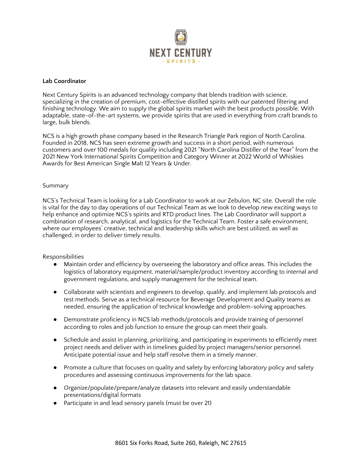

## **Lab Coordinator**

Next Century Spirits is an advanced technology company that blends tradition with science, specializing in the creation of premium, cost-effective distilled spirits with our patented filtering and finishing technology. We aim to supply the global spirits market with the best products possible. With adaptable, state-of-the-art systems, we provide spirits that are used in everything from craft brands to large, bulk blends.

NCS is a high growth phase company based in the Research Triangle Park region of North Carolina. Founded in 2018, NCS has seen extreme growth and success in a short period, with numerous customers and over 100 medals for quality including 2021 "North Carolina Distiller of the Year" from the 2021 New York International Spirits Competition and Category Winner at 2022 World of Whiskies Awards for Best American Single Malt 12 Years & Under.

## Summary

NCS's Technical Team is looking for a Lab Coordinator to work at our Zebulon, NC site. Overall the role is vital for the day to day operations of our Technical Team as we look to develop new exciting ways to help enhance and optimize NCS's spirits and RTD product lines. The Lab Coordinator will support a combination of research, analytical, and logistics for the Technical Team. Foster a safe environment, where our employees' creative, technical and leadership skills which are best utilized, as well as challenged, in order to deliver timely results.

## Responsibilities

- Maintain order and efficiency by overseeing the laboratory and office areas. This includes the logistics of laboratory equipment, material/sample/product inventory according to internal and government regulations, and supply management for the technical team.
- Collaborate with scientists and engineers to develop, qualify, and implement lab protocols and test methods. Serve as a technical resource for Beverage Development and Quality teams as needed, ensuring the application of technical knowledge and problem-solving approaches.
- Demonstrate proficiency in NCS lab methods/protocols and provide training of personnel according to roles and job function to ensure the group can meet their goals.
- Schedule and assist in planning, prioritizing, and participating in experiments to efficiently meet project needs and deliver with in timelines guided by project managers/senior personnel. Anticipate potential issue and help staff resolve them in a timely manner.
- Promote a culture that focuses on quality and safety by enforcing laboratory policy and safety procedures and assessing continuous improvements for the lab space.
- Organize/populate/prepare/analyze datasets into relevant and easily understandable presentations/digital formats
- Participate in and lead sensory panels (must be over 21)